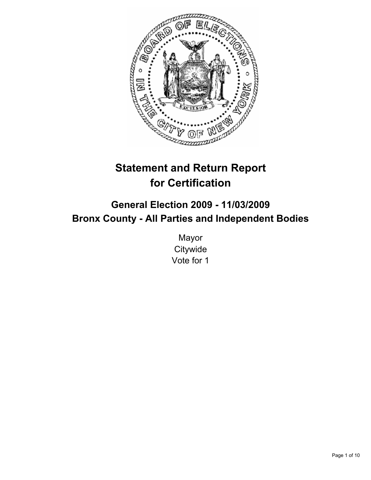

# **Statement and Return Report for Certification**

# **General Election 2009 - 11/03/2009 Bronx County - All Parties and Independent Bodies**

Mayor **Citywide** Vote for 1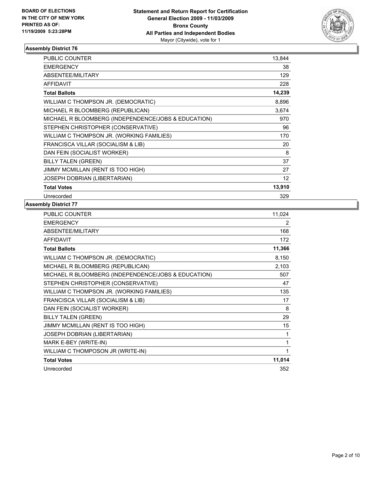

| <b>PUBLIC COUNTER</b>                               | 13,844          |
|-----------------------------------------------------|-----------------|
| <b>EMERGENCY</b>                                    | 38              |
| ABSENTEE/MILITARY                                   | 129             |
| <b>AFFIDAVIT</b>                                    | 228             |
| <b>Total Ballots</b>                                | 14,239          |
| WILLIAM C THOMPSON JR. (DEMOCRATIC)                 | 8,896           |
| MICHAEL R BLOOMBERG (REPUBLICAN)                    | 3,674           |
| MICHAEL R BLOOMBERG (INDEPENDENCE/JOBS & EDUCATION) | 970             |
| STEPHEN CHRISTOPHER (CONSERVATIVE)                  | 96              |
| WILLIAM C THOMPSON JR. (WORKING FAMILIES)           | 170             |
| FRANCISCA VILLAR (SOCIALISM & LIB)                  | 20              |
| DAN FEIN (SOCIALIST WORKER)                         | 8               |
| <b>BILLY TALEN (GREEN)</b>                          | 37              |
| JIMMY MCMILLAN (RENT IS TOO HIGH)                   | 27              |
| JOSEPH DOBRIAN (LIBERTARIAN)                        | 12 <sup>°</sup> |
| <b>Total Votes</b>                                  | 13,910          |
| Unrecorded                                          | 329             |

| PUBLIC COUNTER                                      | 11,024 |
|-----------------------------------------------------|--------|
| <b>EMERGENCY</b>                                    | 2      |
| ABSENTEE/MILITARY                                   | 168    |
| <b>AFFIDAVIT</b>                                    | 172    |
| <b>Total Ballots</b>                                | 11,366 |
| WILLIAM C THOMPSON JR. (DEMOCRATIC)                 | 8,150  |
| MICHAEL R BLOOMBERG (REPUBLICAN)                    | 2,103  |
| MICHAEL R BLOOMBERG (INDEPENDENCE/JOBS & EDUCATION) | 507    |
| STEPHEN CHRISTOPHER (CONSERVATIVE)                  | 47     |
| WILLIAM C THOMPSON JR. (WORKING FAMILIES)           | 135    |
| FRANCISCA VILLAR (SOCIALISM & LIB)                  | 17     |
| DAN FEIN (SOCIALIST WORKER)                         | 8      |
| <b>BILLY TALEN (GREEN)</b>                          | 29     |
| JIMMY MCMILLAN (RENT IS TOO HIGH)                   | 15     |
| JOSEPH DOBRIAN (LIBERTARIAN)                        | 1      |
| MARK E-BEY (WRITE-IN)                               | 1      |
| WILLIAM C THOMPOSON JR (WRITE-IN)                   |        |
| <b>Total Votes</b>                                  | 11,014 |
| Unrecorded                                          | 352    |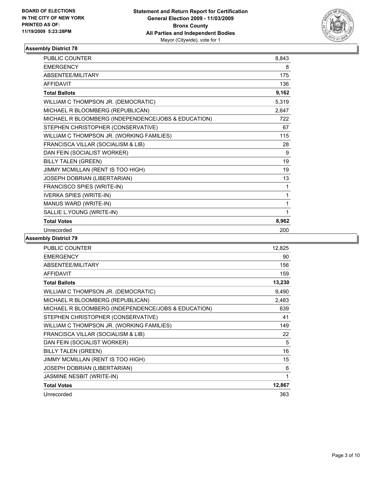

| <b>PUBLIC COUNTER</b>                               | 8,843 |
|-----------------------------------------------------|-------|
| <b>EMERGENCY</b>                                    | 8     |
| ABSENTEE/MILITARY                                   | 175   |
| <b>AFFIDAVIT</b>                                    | 136   |
| <b>Total Ballots</b>                                | 9,162 |
| WILLIAM C THOMPSON JR. (DEMOCRATIC)                 | 5,319 |
| MICHAEL R BLOOMBERG (REPUBLICAN)                    | 2,647 |
| MICHAEL R BLOOMBERG (INDEPENDENCE/JOBS & EDUCATION) | 722   |
| STEPHEN CHRISTOPHER (CONSERVATIVE)                  | 67    |
| WILLIAM C THOMPSON JR. (WORKING FAMILIES)           | 115   |
| FRANCISCA VILLAR (SOCIALISM & LIB)                  | 28    |
| DAN FEIN (SOCIALIST WORKER)                         | 9     |
| <b>BILLY TALEN (GREEN)</b>                          | 19    |
| JIMMY MCMILLAN (RENT IS TOO HIGH)                   | 19    |
| JOSEPH DOBRIAN (LIBERTARIAN)                        | 13    |
| FRANCISCO SPIES (WRITE-IN)                          | 1     |
| <b>IVERKA SPIES (WRITE-IN)</b>                      | 1     |
| MANUS WARD (WRITE-IN)                               | 1     |
| SALLIE L.YOUNG (WRITE-IN)                           | 1     |
| <b>Total Votes</b>                                  | 8,962 |
| Unrecorded                                          | 200   |

| <b>PUBLIC COUNTER</b>                               | 12,825 |
|-----------------------------------------------------|--------|
| <b>EMERGENCY</b>                                    | 90     |
| ABSENTEE/MILITARY                                   | 156    |
| <b>AFFIDAVIT</b>                                    | 159    |
| <b>Total Ballots</b>                                | 13,230 |
| WILLIAM C THOMPSON JR. (DEMOCRATIC)                 | 9,490  |
| MICHAEL R BLOOMBERG (REPUBLICAN)                    | 2,483  |
| MICHAEL R BLOOMBERG (INDEPENDENCE/JOBS & EDUCATION) | 639    |
| STEPHEN CHRISTOPHER (CONSERVATIVE)                  | 41     |
| WILLIAM C THOMPSON JR. (WORKING FAMILIES)           | 149    |
| FRANCISCA VILLAR (SOCIALISM & LIB)                  | 22     |
| DAN FEIN (SOCIALIST WORKER)                         | 5      |
| <b>BILLY TALEN (GREEN)</b>                          | 16     |
| JIMMY MCMILLAN (RENT IS TOO HIGH)                   | 15     |
| JOSEPH DOBRIAN (LIBERTARIAN)                        | 6      |
| JASMINE NESBIT (WRITE-IN)                           | 1      |
| <b>Total Votes</b>                                  | 12,867 |
| Unrecorded                                          | 363    |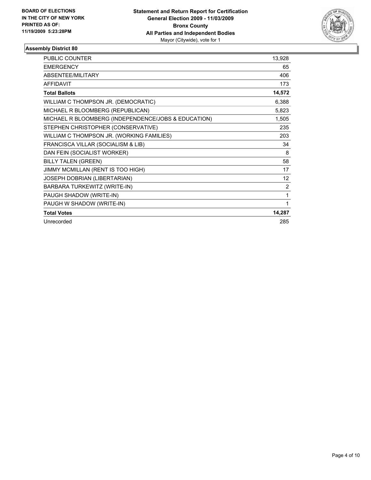

| <b>PUBLIC COUNTER</b>                               | 13,928         |
|-----------------------------------------------------|----------------|
| <b>EMERGENCY</b>                                    | 65             |
| ABSENTEE/MILITARY                                   | 406            |
| <b>AFFIDAVIT</b>                                    | 173            |
| <b>Total Ballots</b>                                | 14,572         |
| WILLIAM C THOMPSON JR. (DEMOCRATIC)                 | 6,388          |
| MICHAEL R BLOOMBERG (REPUBLICAN)                    | 5,823          |
| MICHAEL R BLOOMBERG (INDEPENDENCE/JOBS & EDUCATION) | 1,505          |
| STEPHEN CHRISTOPHER (CONSERVATIVE)                  | 235            |
| WILLIAM C THOMPSON JR. (WORKING FAMILIES)           | 203            |
| FRANCISCA VILLAR (SOCIALISM & LIB)                  | 34             |
| DAN FEIN (SOCIALIST WORKER)                         | 8              |
| <b>BILLY TALEN (GREEN)</b>                          | 58             |
| JIMMY MCMILLAN (RENT IS TOO HIGH)                   | 17             |
| JOSEPH DOBRIAN (LIBERTARIAN)                        | 12             |
| BARBARA TURKEWITZ (WRITE-IN)                        | $\overline{2}$ |
| PAUGH SHADOW (WRITE-IN)                             | 1              |
| PAUGH W SHADOW (WRITE-IN)                           | 1              |
| <b>Total Votes</b>                                  | 14,287         |
| Unrecorded                                          | 285            |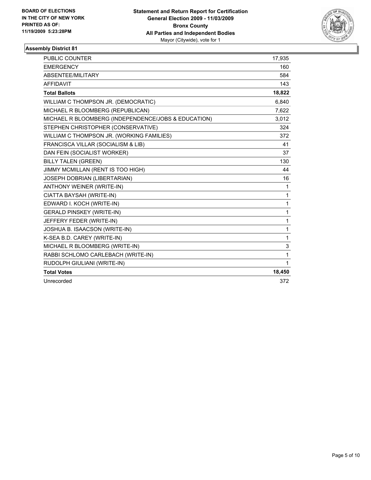

| <b>PUBLIC COUNTER</b>                               | 17,935       |
|-----------------------------------------------------|--------------|
| <b>EMERGENCY</b>                                    | 160          |
| ABSENTEE/MILITARY                                   | 584          |
| <b>AFFIDAVIT</b>                                    | 143          |
| <b>Total Ballots</b>                                | 18,822       |
| WILLIAM C THOMPSON JR. (DEMOCRATIC)                 | 6,840        |
| MICHAEL R BLOOMBERG (REPUBLICAN)                    | 7,622        |
| MICHAEL R BLOOMBERG (INDEPENDENCE/JOBS & EDUCATION) | 3,012        |
| STEPHEN CHRISTOPHER (CONSERVATIVE)                  | 324          |
| WILLIAM C THOMPSON JR. (WORKING FAMILIES)           | 372          |
| FRANCISCA VILLAR (SOCIALISM & LIB)                  | 41           |
| DAN FEIN (SOCIALIST WORKER)                         | 37           |
| <b>BILLY TALEN (GREEN)</b>                          | 130          |
| JIMMY MCMILLAN (RENT IS TOO HIGH)                   | 44           |
| JOSEPH DOBRIAN (LIBERTARIAN)                        | 16           |
| ANTHONY WEINER (WRITE-IN)                           | $\mathbf{1}$ |
| CIATTA BAYSAH (WRITE-IN)                            | $\mathbf{1}$ |
| EDWARD I. KOCH (WRITE-IN)                           | $\mathbf{1}$ |
| <b>GERALD PINSKEY (WRITE-IN)</b>                    | $\mathbf{1}$ |
| JEFFERY FEDER (WRITE-IN)                            | $\mathbf{1}$ |
| JOSHUA B. ISAACSON (WRITE-IN)                       | 1            |
| K-SEA B.D. CAREY (WRITE-IN)                         | $\mathbf{1}$ |
| MICHAEL R BLOOMBERG (WRITE-IN)                      | 3            |
| RABBI SCHLOMO CARLEBACH (WRITE-IN)                  | $\mathbf{1}$ |
| RUDOLPH GIULIANI (WRITE-IN)                         | $\mathbf{1}$ |
| <b>Total Votes</b>                                  | 18,450       |
| Unrecorded                                          | 372          |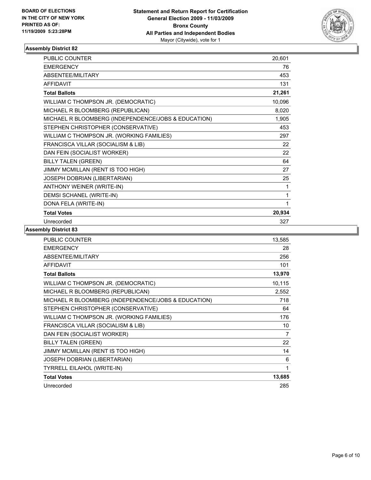

| <b>PUBLIC COUNTER</b>                               | 20,601 |
|-----------------------------------------------------|--------|
| <b>EMERGENCY</b>                                    | 76     |
| ABSENTEE/MILITARY                                   | 453    |
| <b>AFFIDAVIT</b>                                    | 131    |
| <b>Total Ballots</b>                                | 21,261 |
| WILLIAM C THOMPSON JR. (DEMOCRATIC)                 | 10,096 |
| MICHAEL R BLOOMBERG (REPUBLICAN)                    | 8,020  |
| MICHAEL R BLOOMBERG (INDEPENDENCE/JOBS & EDUCATION) | 1,905  |
| STEPHEN CHRISTOPHER (CONSERVATIVE)                  | 453    |
| WILLIAM C THOMPSON JR. (WORKING FAMILIES)           | 297    |
| FRANCISCA VILLAR (SOCIALISM & LIB)                  | 22     |
| DAN FEIN (SOCIALIST WORKER)                         | 22     |
| <b>BILLY TALEN (GREEN)</b>                          | 64     |
| JIMMY MCMILLAN (RENT IS TOO HIGH)                   | 27     |
| JOSEPH DOBRIAN (LIBERTARIAN)                        | 25     |
| ANTHONY WEINER (WRITE-IN)                           | 1      |
| DEMSI SCHANEL (WRITE-IN)                            | 1      |
| DONA FELA (WRITE-IN)                                | 1      |
| <b>Total Votes</b>                                  | 20,934 |
| Unrecorded                                          | 327    |

| <b>PUBLIC COUNTER</b>                               | 13,585 |
|-----------------------------------------------------|--------|
| <b>EMERGENCY</b>                                    | 28     |
| <b>ABSENTEE/MILITARY</b>                            | 256    |
| <b>AFFIDAVIT</b>                                    | 101    |
| <b>Total Ballots</b>                                | 13,970 |
| WILLIAM C THOMPSON JR. (DEMOCRATIC)                 | 10,115 |
| MICHAEL R BLOOMBERG (REPUBLICAN)                    | 2,552  |
| MICHAEL R BLOOMBERG (INDEPENDENCE/JOBS & EDUCATION) | 718    |
| STEPHEN CHRISTOPHER (CONSERVATIVE)                  | 64     |
| WILLIAM C THOMPSON JR. (WORKING FAMILIES)           | 176    |
| FRANCISCA VILLAR (SOCIALISM & LIB)                  | 10     |
| DAN FEIN (SOCIALIST WORKER)                         | 7      |
| <b>BILLY TALEN (GREEN)</b>                          | 22     |
| JIMMY MCMILLAN (RENT IS TOO HIGH)                   | 14     |
| JOSEPH DOBRIAN (LIBERTARIAN)                        | 6      |
| <b>TYRRELL EILAHOL (WRITE-IN)</b>                   | 1      |
| <b>Total Votes</b>                                  | 13,685 |
| Unrecorded                                          | 285    |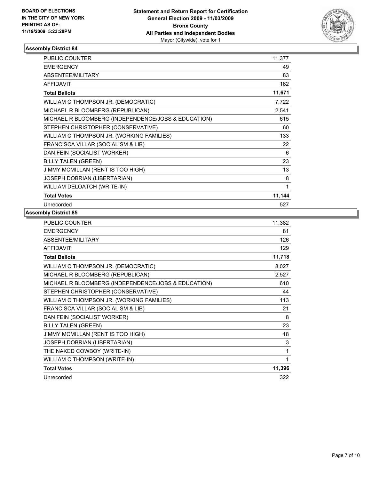

| <b>PUBLIC COUNTER</b>                               | 11,377 |
|-----------------------------------------------------|--------|
| <b>EMERGENCY</b>                                    | 49     |
| ABSENTEE/MILITARY                                   | 83     |
| <b>AFFIDAVIT</b>                                    | 162    |
| <b>Total Ballots</b>                                | 11,671 |
| WILLIAM C THOMPSON JR. (DEMOCRATIC)                 | 7,722  |
| MICHAEL R BLOOMBERG (REPUBLICAN)                    | 2,541  |
| MICHAEL R BLOOMBERG (INDEPENDENCE/JOBS & EDUCATION) | 615    |
| STEPHEN CHRISTOPHER (CONSERVATIVE)                  | 60     |
| WILLIAM C THOMPSON JR. (WORKING FAMILIES)           | 133    |
| FRANCISCA VILLAR (SOCIALISM & LIB)                  | 22     |
| DAN FEIN (SOCIALIST WORKER)                         | 6      |
| <b>BILLY TALEN (GREEN)</b>                          | 23     |
| JIMMY MCMILLAN (RENT IS TOO HIGH)                   | 13     |
| JOSEPH DOBRIAN (LIBERTARIAN)                        | 8      |
| WILLIAM DELOATCH (WRITE-IN)                         | 1      |
| <b>Total Votes</b>                                  | 11,144 |
| Unrecorded                                          | 527    |

| <b>PUBLIC COUNTER</b>                               | 11,382 |
|-----------------------------------------------------|--------|
| <b>EMERGENCY</b>                                    | 81     |
| ABSENTEE/MILITARY                                   | 126    |
| <b>AFFIDAVIT</b>                                    | 129    |
| <b>Total Ballots</b>                                | 11,718 |
| WILLIAM C THOMPSON JR. (DEMOCRATIC)                 | 8,027  |
| MICHAEL R BLOOMBERG (REPUBLICAN)                    | 2,527  |
| MICHAEL R BLOOMBERG (INDEPENDENCE/JOBS & EDUCATION) | 610    |
| STEPHEN CHRISTOPHER (CONSERVATIVE)                  | 44     |
| WILLIAM C THOMPSON JR. (WORKING FAMILIES)           | 113    |
| FRANCISCA VILLAR (SOCIALISM & LIB)                  | 21     |
| DAN FEIN (SOCIALIST WORKER)                         | 8      |
| <b>BILLY TALEN (GREEN)</b>                          | 23     |
| JIMMY MCMILLAN (RENT IS TOO HIGH)                   | 18     |
| JOSEPH DOBRIAN (LIBERTARIAN)                        | 3      |
| THE NAKED COWBOY (WRITE-IN)                         | 1      |
| WILLIAM C THOMPSON (WRITE-IN)                       | 1      |
| <b>Total Votes</b>                                  | 11,396 |
| Unrecorded                                          | 322    |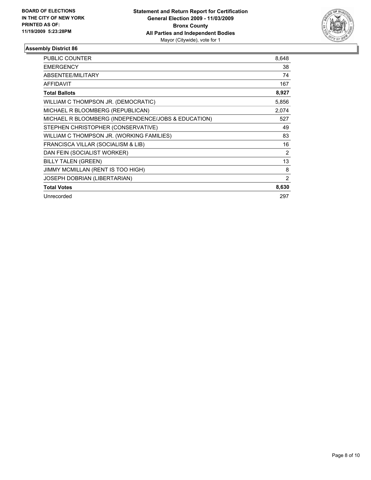

| PUBLIC COUNTER                                      | 8,648 |
|-----------------------------------------------------|-------|
| <b>EMERGENCY</b>                                    | 38    |
| ABSENTEE/MILITARY                                   | 74    |
| <b>AFFIDAVIT</b>                                    | 167   |
| <b>Total Ballots</b>                                | 8,927 |
| WILLIAM C THOMPSON JR. (DEMOCRATIC)                 | 5,856 |
| MICHAEL R BLOOMBERG (REPUBLICAN)                    | 2,074 |
| MICHAEL R BLOOMBERG (INDEPENDENCE/JOBS & EDUCATION) | 527   |
| STEPHEN CHRISTOPHER (CONSERVATIVE)                  | 49    |
| WILLIAM C THOMPSON JR. (WORKING FAMILIES)           | 83    |
| FRANCISCA VILLAR (SOCIALISM & LIB)                  | 16    |
| DAN FEIN (SOCIALIST WORKER)                         | 2     |
| <b>BILLY TALEN (GREEN)</b>                          | 13    |
| JIMMY MCMILLAN (RENT IS TOO HIGH)                   | 8     |
| JOSEPH DOBRIAN (LIBERTARIAN)                        | 2     |
| <b>Total Votes</b>                                  | 8,630 |
| Unrecorded                                          | 297   |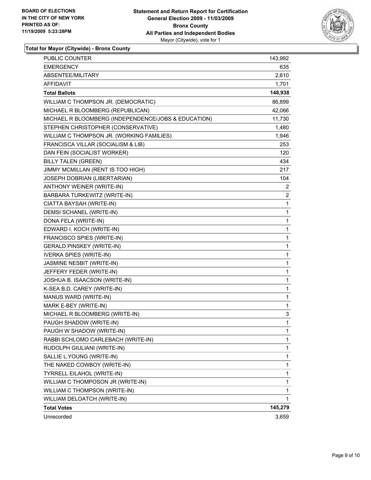

**Total for Mayor (Citywide) - Bronx County**

| PUBLIC COUNTER                                      | 143,992      |
|-----------------------------------------------------|--------------|
| <b>EMERGENCY</b>                                    | 635          |
| ABSENTEE/MILITARY                                   | 2,610        |
| AFFIDAVIT                                           | 1,701        |
| <b>Total Ballots</b>                                | 148,938      |
| WILLIAM C THOMPSON JR. (DEMOCRATIC)                 | 86,899       |
| MICHAEL R BLOOMBERG (REPUBLICAN)                    | 42,066       |
| MICHAEL R BLOOMBERG (INDEPENDENCE/JOBS & EDUCATION) | 11,730       |
| STEPHEN CHRISTOPHER (CONSERVATIVE)                  | 1,480        |
| WILLIAM C THOMPSON JR. (WORKING FAMILIES)           | 1,946        |
| FRANCISCA VILLAR (SOCIALISM & LIB)                  | 253          |
| DAN FEIN (SOCIALIST WORKER)                         | 120          |
| <b>BILLY TALEN (GREEN)</b>                          | 434          |
| JIMMY MCMILLAN (RENT IS TOO HIGH)                   | 217          |
| JOSEPH DOBRIAN (LIBERTARIAN)                        | 104          |
| ANTHONY WEINER (WRITE-IN)                           | 2            |
| BARBARA TURKEWITZ (WRITE-IN)                        | 2            |
| CIATTA BAYSAH (WRITE-IN)                            | $\mathbf{1}$ |
| DEMSI SCHANEL (WRITE-IN)                            | 1            |
| DONA FELA (WRITE-IN)                                | 1            |
| EDWARD I. KOCH (WRITE-IN)                           | 1            |
| FRANCISCO SPIES (WRITE-IN)                          | 1            |
| <b>GERALD PINSKEY (WRITE-IN)</b>                    | 1            |
| <b>IVERKA SPIES (WRITE-IN)</b>                      | 1            |
| JASMINE NESBIT (WRITE-IN)                           | 1            |
| JEFFERY FEDER (WRITE-IN)                            | 1            |
| JOSHUA B. ISAACSON (WRITE-IN)                       | 1            |
| K-SEA B.D. CAREY (WRITE-IN)                         | 1            |
| MANUS WARD (WRITE-IN)                               | 1            |
| MARK E-BEY (WRITE-IN)                               | 1            |
| MICHAEL R BLOOMBERG (WRITE-IN)                      | 3            |
| PAUGH SHADOW (WRITE-IN)                             | 1            |
| PAUGH W SHADOW (WRITE-IN)                           | 1            |
| RABBI SCHLOMO CARLEBACH (WRITE-IN)                  | 1            |
| RUDOLPH GIULIANI (WRITE-IN)                         | 1            |
| SALLIE L.YOUNG (WRITE-IN)                           | 1            |
| THE NAKED COWBOY (WRITE-IN)                         | $\mathbf 1$  |
| TYRRELL EILAHOL (WRITE-IN)                          | 1            |
| WILLIAM C THOMPOSON JR (WRITE-IN)                   | 1            |
| WILLIAM C THOMPSON (WRITE-IN)                       | 1            |
| WILLIAM DELOATCH (WRITE-IN)                         | 1            |
| <b>Total Votes</b>                                  | 145,279      |
| Unrecorded                                          | 3,659        |